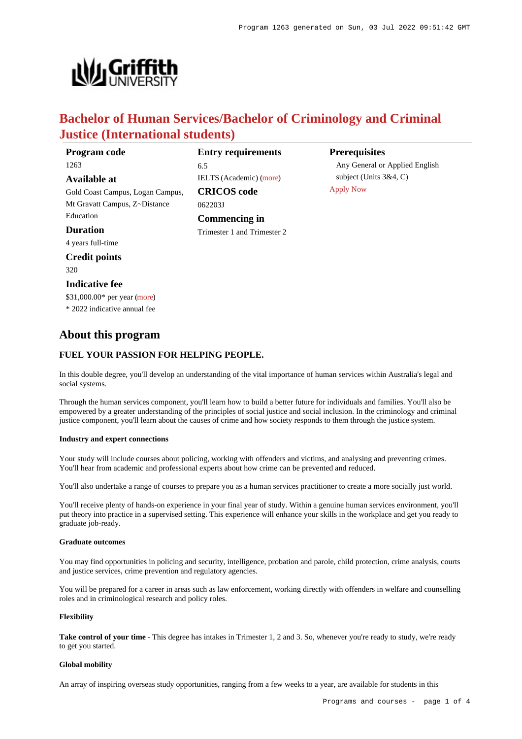

# **Bachelor of Human Services/Bachelor of Criminology and Criminal Justice (International students)**

| Program code                     | <b>Entry requirements</b>      | <b>Prerequisites</b>                          |
|----------------------------------|--------------------------------|-----------------------------------------------|
| 1263                             | 6.5                            | Any General or Applied English                |
| Available at                     | <b>IELTS</b> (Academic) (more) | subject (Units $3&4, C$ )<br><b>Apply Now</b> |
| Gold Coast Campus, Logan Campus, | <b>CRICOS</b> code             |                                               |
| Mt Gravatt Campus, Z~Distance    | 062203J                        |                                               |
| Education                        | Commencing in                  |                                               |
| <b>Duration</b>                  | Trimester 1 and Trimester 2    |                                               |
| 4 years full-time                |                                |                                               |
| <b>Credit points</b>             |                                |                                               |
| 320                              |                                |                                               |
| <b>Indicative fee</b>            |                                |                                               |
| \$31,000.00* per year (more)     |                                |                                               |
| * 2022 indicative annual fee     |                                |                                               |

# **About this program**

## **FUEL YOUR PASSION FOR HELPING PEOPLE.**

In this double degree, you'll develop an understanding of the vital importance of human services within Australia's legal and social systems.

Through the human services component, you'll learn how to build a better future for individuals and families. You'll also be empowered by a greater understanding of the principles of social justice and social inclusion. In the criminology and criminal justice component, you'll learn about the causes of crime and how society responds to them through the justice system.

### **Industry and expert connections**

Your study will include courses about policing, working with offenders and victims, and analysing and preventing crimes. You'll hear from academic and professional experts about how crime can be prevented and reduced.

You'll also undertake a range of courses to prepare you as a human services practitioner to create a more socially just world.

You'll receive plenty of hands-on experience in your final year of study. Within a genuine human services environment, you'll put theory into practice in a supervised setting. This experience will enhance your skills in the workplace and get you ready to graduate job-ready.

### **Graduate outcomes**

You may find opportunities in policing and security, intelligence, probation and parole, child protection, crime analysis, courts and justice services, crime prevention and regulatory agencies.

You will be prepared for a career in areas such as law enforcement, working directly with offenders in welfare and counselling roles and in criminological research and policy roles.

### **Flexibility**

Take control of your time - This degree has intakes in Trimester 1, 2 and 3. So, whenever you're ready to study, we're ready to get you started.

### **Global mobility**

An array of inspiring overseas study opportunities, ranging from a few weeks to a year, are available for students in this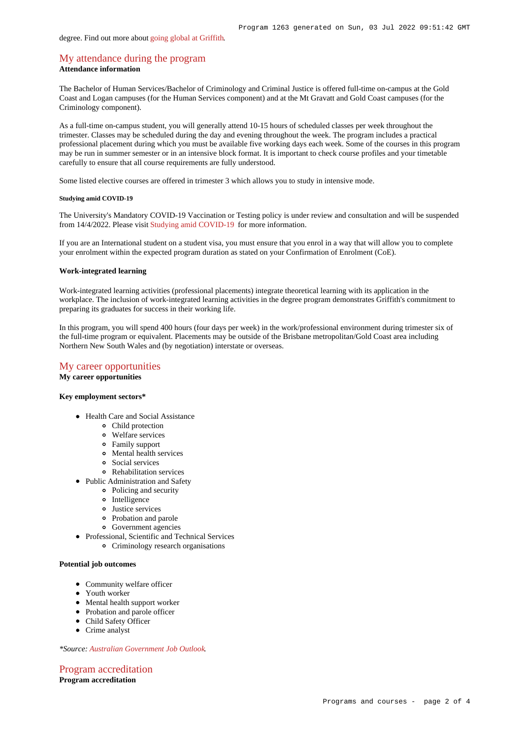# [My attendance during the program](https://www148.griffith.edu.au/programs-courses/Program/1263/Overview/International#attendance) **Attendance information**

The Bachelor of Human Services/Bachelor of Criminology and Criminal Justice is offered full-time on-campus at the Gold Coast and Logan campuses (for the Human Services component) and at the Mt Gravatt and Gold Coast campuses (for the Criminology component).

As a full-time on-campus student, you will generally attend 10-15 hours of scheduled classes per week throughout the trimester. Classes may be scheduled during the day and evening throughout the week. The program includes a practical professional placement during which you must be available five working days each week. Some of the courses in this program may be run in summer semester or in an intensive block format. It is important to check course profiles and your timetable carefully to ensure that all course requirements are fully understood.

Some listed elective courses are offered in trimester 3 which allows you to study in intensive mode.

### **Studying amid COVID-19**

The University's Mandatory COVID-19 Vaccination or Testing policy is under review and consultation and will be suspended from 14/4/2022. Please visit [Studying amid COVID-19](https://www.griffith.edu.au/coronavirus/studying-amid-covid-19) for more information.

If you are an International student on a student visa, you must ensure that you enrol in a way that will allow you to complete your enrolment within the expected program duration as stated on your Confirmation of Enrolment (CoE).

#### **Work-integrated learning**

Work-integrated learning activities (professional placements) integrate theoretical learning with its application in the workplace. The inclusion of work-integrated learning activities in the degree program demonstrates Griffith's commitment to preparing its graduates for success in their working life.

In this program, you will spend 400 hours (four days per week) in the work/professional environment during trimester six of the full-time program or equivalent. Placements may be outside of the Brisbane metropolitan/Gold Coast area including Northern New South Wales and (by negotiation) interstate or overseas.

### [My career opportunities](https://www148.griffith.edu.au/programs-courses/Program/1263/Overview/International#opportunities)

**My career opportunities**

## **Key employment sectors\***

- Health Care and Social Assistance
	- Child protection
	- Welfare services
	- Family support
	- Mental health services
	- Social services
	- Rehabilitation services
- Public Administration and Safety
	- Policing and security
	- o Intelligence
	- Justice services
	- Probation and parole
	- Government agencies
- Professional, Scientific and Technical Services Criminology research organisations

### **Potential job outcomes**

- Community welfare officer
- Youth worker
- Mental health support worker
- Probation and parole officer
- Child Safety Officer
- Crime analyst

*\*Source: [Australian Government Job Outlook](https://joboutlook.gov.au/).*

[Program accreditation](https://www148.griffith.edu.au/programs-courses/Program/1263/Overview/International#accreditation) **Program accreditation**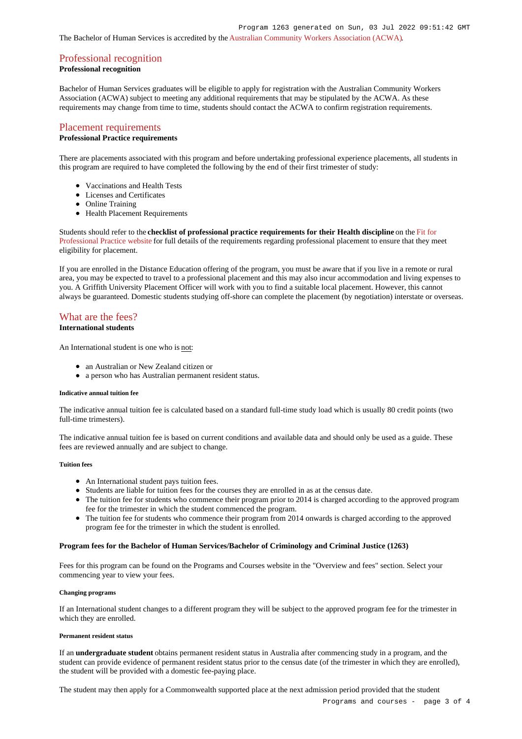The Bachelor of Human Services is accredited by the [Australian Community Workers Association \(ACWA\)](http://www.acwa.org.au/).

# [Professional recognition](https://www148.griffith.edu.au/programs-courses/Program/1263/Overview/International#recognition)

# **Professional recognition**

Bachelor of Human Services graduates will be eligible to apply for registration with the Australian Community Workers Association (ACWA) subject to meeting any additional requirements that may be stipulated by the ACWA. As these requirements may change from time to time, students should contact the ACWA to confirm registration requirements.

### [Placement requirements](https://www148.griffith.edu.au/programs-courses/Program/1263/Overview/International#placement)

### **Professional Practice requirements**

There are placements associated with this program and before undertaking professional experience placements, all students in this program are required to have completed the following by the end of their first trimester of study:

- Vaccinations and Health Tests
- Licenses and Certificates
- Online Training
- Health Placement Requirements

Students should refer to the **checklist of professional practice requirements for their Health discipline** on the [Fit for](https://www.griffith.edu.au/griffith-health/fit-for-professional-practice) [Professional Practice website](https://www.griffith.edu.au/griffith-health/fit-for-professional-practice) for full details of the requirements regarding professional placement to ensure that they meet eligibility for placement.

If you are enrolled in the Distance Education offering of the program, you must be aware that if you live in a remote or rural area, you may be expected to travel to a professional placement and this may also incur accommodation and living expenses to you. A Griffith University Placement Officer will work with you to find a suitable local placement. However, this cannot always be guaranteed. Domestic students studying off-shore can complete the placement (by negotiation) interstate or overseas.

# [What are the fees?](https://www148.griffith.edu.au/programs-courses/Program/1263/Overview/International#fees)

### **International students**

An International student is one who is not:

- an Australian or New Zealand citizen or
- a person who has Australian permanent resident status.

#### **Indicative annual tuition fee**

The indicative annual tuition fee is calculated based on a standard full-time study load which is usually 80 credit points (two full-time trimesters).

The indicative annual tuition fee is based on current conditions and available data and should only be used as a guide. These fees are reviewed annually and are subject to change.

### **Tuition fees**

- An International student pays tuition fees.
- Students are liable for tuition fees for the courses they are enrolled in as at the census date.
- The tuition fee for students who commence their program prior to 2014 is charged according to the approved program fee for the trimester in which the student commenced the program.
- The tuition fee for students who commence their program from 2014 onwards is charged according to the approved program fee for the trimester in which the student is enrolled.

### **Program fees for the Bachelor of Human Services/Bachelor of Criminology and Criminal Justice (1263)**

Fees for this program can be found on the Programs and Courses website in the "Overview and fees" section. Select your commencing year to view your fees.

#### **Changing programs**

If an International student changes to a different program they will be subject to the approved program fee for the trimester in which they are enrolled.

### **Permanent resident status**

If an **undergraduate student** obtains permanent resident status in Australia after commencing study in a program, and the student can provide evidence of permanent resident status prior to the census date (of the trimester in which they are enrolled), the student will be provided with a domestic fee-paying place.

The student may then apply for a Commonwealth supported place at the next admission period provided that the student